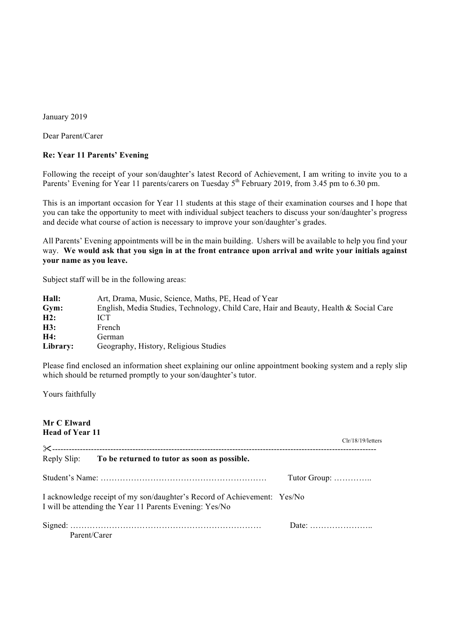January 2019

Dear Parent/Carer

## **Re: Year 11 Parents' Evening**

Following the receipt of your son/daughter's latest Record of Achievement, I am writing to invite you to a Parents' Evening for Year 11 parents/carers on Tuesday 5<sup>th</sup> February 2019, from 3.45 pm to 6.30 pm.

This is an important occasion for Year 11 students at this stage of their examination courses and I hope that you can take the opportunity to meet with individual subject teachers to discuss your son/daughter's progress and decide what course of action is necessary to improve your son/daughter's grades.

All Parents' Evening appointments will be in the main building. Ushers will be available to help you find your way. **We would ask that you sign in at the front entrance upon arrival and write your initials against your name as you leave.** 

Subject staff will be in the following areas:

| Hall:    | Art, Drama, Music, Science, Maths, PE, Head of Year                                   |
|----------|---------------------------------------------------------------------------------------|
| Gym:     | English, Media Studies, Technology, Child Care, Hair and Beauty, Health & Social Care |
| H2:      | ICT                                                                                   |
| H3:      | French                                                                                |
| H4:      | German                                                                                |
| Library: | Geography, History, Religious Studies                                                 |

Please find enclosed an information sheet explaining our online appointment booking system and a reply slip which should be returned promptly to your son/daughter's tutor.

Yours faithfully

**Mr C Elward Head of Year 11** Clr/18/19/letters "--------------------------------------------------------------------------------------------------------------------- Reply Slip: **To be returned to tutor as soon as possible.** Student's Name: …………………………………………………… Tutor Group: ………….. I acknowledge receipt of my son/daughter's Record of Achievement: Yes/No I will be attending the Year 11 Parents Evening: Yes/No Signed: …………………………………………………………… Date: ………………….. Parent/Carer